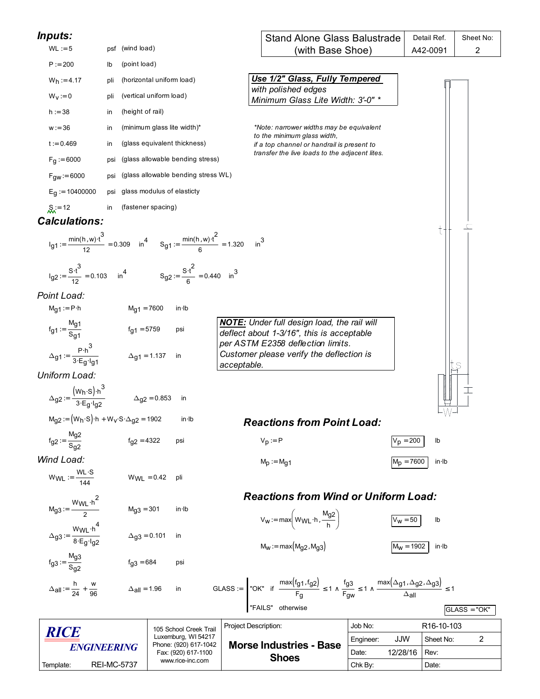| Inputs:                                                                                                                                              |                    |                              |                                              |                      | <b>Stand Alone Glass Balustrade</b>                                                                                                                                                                                              |           |              | Detail Ref.             | Sheet No:      |
|------------------------------------------------------------------------------------------------------------------------------------------------------|--------------------|------------------------------|----------------------------------------------|----------------------|----------------------------------------------------------------------------------------------------------------------------------------------------------------------------------------------------------------------------------|-----------|--------------|-------------------------|----------------|
| $WL := 5$                                                                                                                                            | psf (wind load)    |                              |                                              |                      | (with Base Shoe)                                                                                                                                                                                                                 |           |              | A42-0091                | $\overline{c}$ |
| $P := 200$                                                                                                                                           | lb                 | (point load)                 |                                              |                      |                                                                                                                                                                                                                                  |           |              |                         |                |
| $W_h := 4.17$                                                                                                                                        | pli                | (horizontal uniform load)    |                                              |                      | Use 1/2" Glass, Fully Tempered<br>with polished edges                                                                                                                                                                            |           |              |                         |                |
| $W_V := 0$                                                                                                                                           | pli                | (vertical uniform load)      |                                              |                      | Minimum Glass Lite Width: 3'-0" *                                                                                                                                                                                                |           |              |                         |                |
| $h := 38$                                                                                                                                            | in                 | (height of rail)             |                                              |                      |                                                                                                                                                                                                                                  |           |              |                         |                |
| $w := 36$                                                                                                                                            | in                 | (minimum glass lite width)*  |                                              |                      | *Note: narrower widths may be equivalent<br>to the minimum glass width,                                                                                                                                                          |           |              |                         |                |
| $t := 0.469$                                                                                                                                         | in                 | (glass equivalent thickness) |                                              |                      | if a top channel or handrail is present to                                                                                                                                                                                       |           |              |                         |                |
| $F_g := 6000$                                                                                                                                        | psi                |                              | (glass allowable bending stress)             |                      | transfer the live loads to the adjacent lites.                                                                                                                                                                                   |           |              |                         |                |
| $F_{gw} = 6000$                                                                                                                                      | psi                |                              | (glass allowable bending stress WL)          |                      |                                                                                                                                                                                                                                  |           |              |                         |                |
| $E_q := 10400000$                                                                                                                                    | psi                | glass modulus of elasticty   |                                              |                      |                                                                                                                                                                                                                                  |           |              |                         |                |
| $S_{xx} = 12$                                                                                                                                        | in                 | (fastener spacing)           |                                              |                      |                                                                                                                                                                                                                                  |           |              |                         |                |
| <b>Calculations:</b>                                                                                                                                 |                    |                              |                                              |                      |                                                                                                                                                                                                                                  |           |              |                         |                |
| $I_{g1} := \frac{\text{min}(h, w) \cdot t^3}{12} = 0.309$ in $\frac{4}{12} = \frac{\text{min}(h, w) \cdot t^2}{6} = 1.320$ in $\frac{3}{12} = 1.320$ |                    |                              |                                              |                      |                                                                                                                                                                                                                                  |           |              |                         |                |
| $I_{g2} = {S \cdot t^3 \over 12} = 0.103$ in $I_4$ $S_{g2} = {S \cdot t^2 \over 6} = 0.440$ in $I_3$                                                 |                    |                              |                                              |                      |                                                                                                                                                                                                                                  |           |              |                         |                |
| Point Load:                                                                                                                                          |                    |                              |                                              |                      |                                                                                                                                                                                                                                  |           |              |                         |                |
| $M_{g1} := P \cdot h$                                                                                                                                |                    | $M_{g1} = 7600$              | $in$ -lb                                     |                      |                                                                                                                                                                                                                                  |           |              |                         |                |
| $f_{g1} := \frac{M_{g1}}{S_{g1}}$                                                                                                                    |                    | $fg1 = 5759$                 | psi                                          |                      | <b>NOTE:</b> Under full design load, the rail will<br>deflect about 1-3/16", this is acceptable                                                                                                                                  |           |              |                         |                |
| $\Delta_{g1} := \frac{p \cdot h^3}{3 \cdot E_g \cdot I_{g1}}$ $\Delta_{g1} = 1.137$ in                                                               |                    |                              |                                              | acceptable.          | per ASTM E2358 deflection limits.<br>Customer please verify the deflection is                                                                                                                                                    |           |              |                         |                |
| Uniform Load:                                                                                                                                        |                    |                              |                                              |                      |                                                                                                                                                                                                                                  |           |              |                         |                |
| $\Delta$ g2 := $\frac{(W_h \cdot S) \cdot h^3}{3 \cdot E_g \cdot I_{g2}}$ $\Delta_{g2} = 0.853$ in                                                   |                    |                              |                                              |                      |                                                                                                                                                                                                                                  |           |              |                         |                |
| $M_{g2} := (W_h \cdot S) \cdot h + W_V \cdot S \cdot \Delta_{g2} = 1902$                                                                             |                    |                              | $in$ $lb$                                    |                      | <b>Reactions from Point Load:</b>                                                                                                                                                                                                |           |              |                         |                |
| $f_{g2} := \frac{M_{g2}}{S_{g2}}$                                                                                                                    |                    | $f_{q2} = 4322$              | psi                                          |                      | $V_p := P$                                                                                                                                                                                                                       |           | $V_p = 200$  | lb                      |                |
| Wind Load:                                                                                                                                           |                    |                              |                                              |                      | $M_p := M_{q1}$                                                                                                                                                                                                                  |           | $M_p = 7600$ | $in$ lb                 |                |
| $WWL := \frac{WL \cdot S}{144}$                                                                                                                      |                    | $WWL = 0.42$                 | pli                                          |                      |                                                                                                                                                                                                                                  |           |              |                         |                |
|                                                                                                                                                      |                    |                              |                                              |                      | <b>Reactions from Wind or Uniform Load:</b>                                                                                                                                                                                      |           |              |                         |                |
| $M_{g3} = \frac{W_{WL} \cdot h^2}{2}$                                                                                                                |                    | $Mg3 = 301$                  | in Ib                                        |                      | $V_W := max \left( W_{WL} \cdot h, \frac{M_{g2}}{h} \right)$                                                                                                                                                                     |           | $V_W = 50$   | lb                      |                |
| $\Delta_{g3} := \frac{W_{WL} \cdot h^4}{8 \cdot E_g \cdot I_{g2}}$                                                                                   |                    | $\Delta$ g3 = 0.101          | in                                           |                      | $M_W := max(M_{q2}, M_{q3})$                                                                                                                                                                                                     |           | $M_W = 1902$ | $in$ lb                 |                |
| $f_{g3} := \frac{M_{g3}}{S_{g3}}$                                                                                                                    |                    | $f_{q3} = 684$               | psi                                          |                      |                                                                                                                                                                                                                                  |           |              |                         |                |
| $\Delta$ all = $\frac{h}{24} + \frac{w}{96}$                                                                                                         |                    | $\Delta$ all = 1.96          | in                                           |                      | GLASS := $\begin{bmatrix} \n\text{OK}^n & \text{if } \frac{\text{max}(f_g1, f_g2)}{F_g} \le 1 \wedge \frac{f_g3}{F_gw} \le 1 \wedge \frac{\text{max}(\Delta g1, \Delta g2, \Delta g3)}{\Delta \text{all}} \le 1 \n\end{bmatrix}$ |           |              |                         |                |
|                                                                                                                                                      |                    |                              |                                              |                      | "FAILS" otherwise                                                                                                                                                                                                                |           |              |                         | $GLASS = "OK"$ |
|                                                                                                                                                      |                    |                              | 105 School Creek Trail                       | Project Description: |                                                                                                                                                                                                                                  | Job No:   |              | R <sub>16</sub> -10-103 |                |
| <i><b>RICE</b></i><br><b>ENGINEERING</b>                                                                                                             |                    |                              | Luxemburg, WI 54217<br>Phone: (920) 617-1042 |                      | <b>Morse Industries - Base</b>                                                                                                                                                                                                   | Engineer: | <b>JJW</b>   | Sheet No:               | 2              |
|                                                                                                                                                      |                    |                              | Fax: (920) 617-1100<br>www.rice-inc.com      |                      | <b>Shoes</b>                                                                                                                                                                                                                     | Date:     | 12/28/16     | Rev:                    |                |
| Template:                                                                                                                                            | <b>REI-MC-5737</b> |                              |                                              |                      |                                                                                                                                                                                                                                  | Chk By:   |              | Date:                   |                |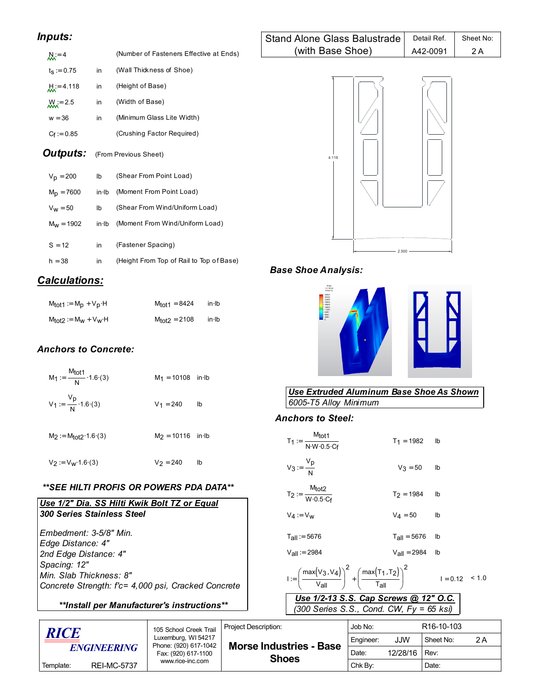# *Inputs:*

| $M = 4$             |    | (Number of Fasteners Effective at Ends) |
|---------------------|----|-----------------------------------------|
| $t_{\rm S} := 0.75$ | in | (Wall Thickness of Shoe)                |
| $M = 4.118$         | in | (Height of Base)                        |
| $M_{\rm N} = 2.5$   | in | (Width of Base)                         |
| $w = 36$            | in | (Minimum Glass Lite Width)              |
| $C_f = 0.85$        |    | (Crushing Factor Required)              |

 $C_f := 0.85$ **Outputs:** (From Previous Sheet)

| $V_{\rm D} = 200$ | lb    | (Shear From Point Load)                  |
|-------------------|-------|------------------------------------------|
| $M_D = 7600$      | in Ib | (Moment From Point Load)                 |
| $V_W = 50$        | lb    | (Shear From Wind/Uniform Load)           |
| $M_W = 1902$      | in Ib | (Moment From Wind/Uniform Load)          |
|                   |       |                                          |
| $S = 12$          | in    | (Fastener Spacing)                       |
| $h = 38$          | in    | (Height From Top of Rail to Top of Base) |

# *Calculations:*

| $M_{tot1} := M_p + V_p \cdot H$ | M <sub>tot1</sub> = 8424 | $in$ lb |
|---------------------------------|--------------------------|---------|
| $M_{tot2} := M_W + V_W$ H       | $M_{tot2} = 2108$        | $in$ lb |

# *Anchors to Concrete:*

| $M_1 := \frac{M_{tot1}}{N} \cdot 1.6 (3)$ | $M_1 = 10108$ in Ib |    |
|-------------------------------------------|---------------------|----|
| $V_1 := \frac{v_p}{N} \cdot 1.6(3)$       | $V_1 = 240$         | Ib |
| $M_2 := M_{tot2} \cdot 1.6 \cdot (3)$     | $M_2 = 10116$ in Ib |    |
| $V_2 := V_W 1.6(3)$                       | $V_2 = 240$         | lb |

## *\*\*SEE HILTI PROFIS OR POWERS PDA DATA\*\**

| Use 1/2" Dia. SS Hilti Kwik Bolt TZ or Equal        |  |  |  |  |  |  |
|-----------------------------------------------------|--|--|--|--|--|--|
| 300 Series Stainless Steel                          |  |  |  |  |  |  |
|                                                     |  |  |  |  |  |  |
| Embedment: 3-5/8" Min.                              |  |  |  |  |  |  |
| Edge Distance: 4"                                   |  |  |  |  |  |  |
| 2nd Edge Distance: 4"                               |  |  |  |  |  |  |
| Spacing: 12"                                        |  |  |  |  |  |  |
| Min. Slab Thickness: 8"                             |  |  |  |  |  |  |
| Concrete Strength: f'c= 4,000 psi, Cracked Concrete |  |  |  |  |  |  |
| **Install per Manufacturer's instructions**         |  |  |  |  |  |  |

| <b>Stand Alone Glass Balustrade</b> | Detail Ref. | Sheet No: |
|-------------------------------------|-------------|-----------|
| (with Base Shoe)                    | A42-0091    | 2 A       |



# *Base Shoe Analysis:*



# *Use Extruded Aluminum Base Shoe As Shown*  $6005$ -T5 Alloy Minimum

# *Anchors to Steel:*

| $V_3 := \frac{V_p}{N}$<br>$V_3 = 50$<br>lb<br>$T_2 := \frac{M_{tot2}}{W \cdot 0.5 \cdot C_f}$<br>$T_2 = 1984$<br>lb<br>$V_4 = 50$<br>lb<br>$V_4 := V_w$<br>$T_{\text{all}} = 5676$<br>$T_{\text{all}} = 5676$<br>lb<br>$V_{\text{All}} = 2984$<br>$V_{all} = 2984$<br>lb<br>$I := \left(\frac{\max(V_3, V_4)}{V_2} \right)^2 + \left(\frac{\max(T_1, T_2)}{T_2} \right)^2$<br>$I = 0.12$ < 1.0<br>Use 1/2-13 S.S. Cap Screws @ 12" O.C.<br>(300 Series S.S., Cond. CW, $Fy = 65$ ksi) | $T_1 := \frac{M_{tot1}}{N \cdot W \cdot 0.5 \cdot C_5}$ | $T_1 = 1982$ | lb |  |  |  |  |
|---------------------------------------------------------------------------------------------------------------------------------------------------------------------------------------------------------------------------------------------------------------------------------------------------------------------------------------------------------------------------------------------------------------------------------------------------------------------------------------|---------------------------------------------------------|--------------|----|--|--|--|--|
|                                                                                                                                                                                                                                                                                                                                                                                                                                                                                       |                                                         |              |    |  |  |  |  |
|                                                                                                                                                                                                                                                                                                                                                                                                                                                                                       |                                                         |              |    |  |  |  |  |
|                                                                                                                                                                                                                                                                                                                                                                                                                                                                                       |                                                         |              |    |  |  |  |  |
|                                                                                                                                                                                                                                                                                                                                                                                                                                                                                       |                                                         |              |    |  |  |  |  |
|                                                                                                                                                                                                                                                                                                                                                                                                                                                                                       |                                                         |              |    |  |  |  |  |
|                                                                                                                                                                                                                                                                                                                                                                                                                                                                                       |                                                         |              |    |  |  |  |  |
|                                                                                                                                                                                                                                                                                                                                                                                                                                                                                       |                                                         |              |    |  |  |  |  |

| <i><b>RICE</b></i><br><b>ENGINEERING</b> |                    | 105 School Creek Trail                                              | <b>Project Description:</b>    | Job No:   |          | R <sub>16</sub> -10-103 |       |  |
|------------------------------------------|--------------------|---------------------------------------------------------------------|--------------------------------|-----------|----------|-------------------------|-------|--|
|                                          |                    | Luxemburg, WI 54217<br>Phone: (920) 617-1042<br>Fax: (920) 617-1100 | <b>Morse Industries - Base</b> | Engineer: | JJW      | Sheet No:               | 2 A   |  |
|                                          |                    |                                                                     | <b>Shoes</b>                   | Date:     | 12/28/16 | Rev:                    |       |  |
| Template:                                | <b>REI-MC-5737</b> | www.rice-inc.com                                                    |                                |           | Chk By:  |                         | Date: |  |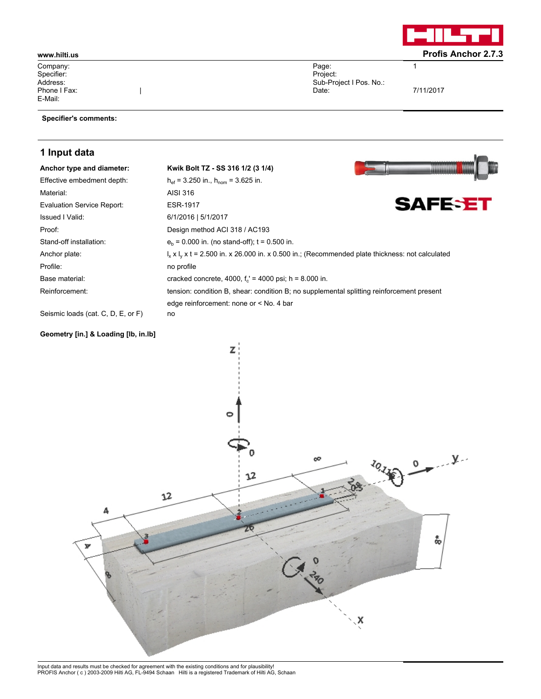

**Im** İ.

1

7/11/2017

Company: Specifier: Address: Phone I Fax: E-Mail:

### **Specifier's comments:**

 $\begin{array}{c} \hline \end{array}$ 

# **1 Input data**

| Anchor type and diameter:                                                                                                                                                                                                                                                                                         | Kwik Bolt TZ - SS 316 1/2 (3 1/4)                                                                            |                |
|-------------------------------------------------------------------------------------------------------------------------------------------------------------------------------------------------------------------------------------------------------------------------------------------------------------------|--------------------------------------------------------------------------------------------------------------|----------------|
| Effective embedment depth:                                                                                                                                                                                                                                                                                        | $h_{\text{ef}}$ = 3.250 in., $h_{\text{nom}}$ = 3.625 in.                                                    |                |
| Material:                                                                                                                                                                                                                                                                                                         | AISI 316                                                                                                     |                |
| <b>Evaluation Service Report:</b>                                                                                                                                                                                                                                                                                 | <b>ESR-1917</b>                                                                                              | <b>SAFESET</b> |
| <b>Issued I Valid:</b>                                                                                                                                                                                                                                                                                            | 6/1/2016   5/1/2017                                                                                          |                |
| Proof:                                                                                                                                                                                                                                                                                                            | Design method ACI 318 / AC193                                                                                |                |
| Stand-off installation:                                                                                                                                                                                                                                                                                           | $eb$ = 0.000 in. (no stand-off); t = 0.500 in.                                                               |                |
| Anchor plate:                                                                                                                                                                                                                                                                                                     | $I_x \times I_y \times t = 2.500$ in. x 26.000 in. x 0.500 in.; (Recommended plate thickness: not calculated |                |
| Profile:                                                                                                                                                                                                                                                                                                          | no profile                                                                                                   |                |
| Base material:                                                                                                                                                                                                                                                                                                    | cracked concrete, 4000, $f_c$ = 4000 psi; h = 8.000 in.                                                      |                |
| Reinforcement:                                                                                                                                                                                                                                                                                                    | tension: condition B, shear: condition B; no supplemental splitting reinforcement present                    |                |
|                                                                                                                                                                                                                                                                                                                   | edge reinforcement: none or < No. 4 bar                                                                      |                |
| $\bigcap_{i=1}^{n}$ . $\bigcup_{i=1}^{n}$ , $\bigcap_{i=1}^{n}$ , $\bigcap_{i=1}^{n}$ , $\bigcap_{i=1}^{n}$ , $\bigcap_{i=1}^{n}$ , $\bigcap_{i=1}^{n}$ , $\bigcap_{i=1}^{n}$ , $\bigcap_{i=1}^{n}$ , $\bigcap_{i=1}^{n}$ , $\bigcap_{i=1}^{n}$ , $\bigcap_{i=1}^{n}$ , $\bigcap_{i=1}^{n}$ , $\bigcap_{i=1}^{n}$ |                                                                                                              |                |

Page: Project:

Date:

Sub-Project I Pos. No.:

Seismic loads (cat. C, D, E, or F) no

## **Geometry [in.] & Loading [lb, in.lb]**



Input data and results must be checked for agreement with the existing conditions and for plausibility! PROFIS Anchor ( c ) 2003-2009 Hilti AG, FL-9494 Schaan Hilti is a registered Trademark of Hilti AG, Schaan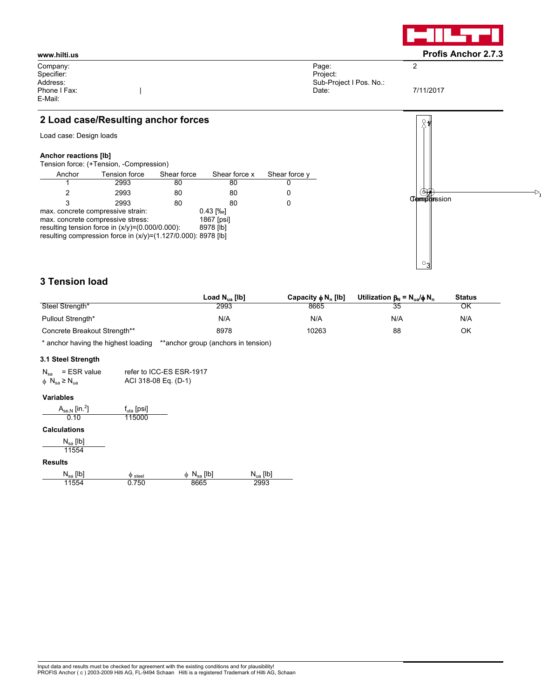

Company: Specifier: Address: Phone I Fax: E-Mail:

Page: Project: Sub-Project I Pos. No.: Date:

7/11/2017

2

# **2 Load case/Resulting anchor forces**

 $\begin{array}{c} \hline \end{array}$ 

Load case: Design loads

### **Anchor reactions [lb]**

Tension force: (+Tension, -Compression)

| Anchor                            | Tension force                                                 | Shear force | Shear force x | Shear force y |
|-----------------------------------|---------------------------------------------------------------|-------------|---------------|---------------|
|                                   | 2993                                                          | 80          | 80            |               |
| 2                                 | 2993                                                          | 80          | 80            |               |
| 3                                 | 2993                                                          | 80          | 80            |               |
| max. concrete compressive strain: |                                                               | $0.43$ [%o] |               |               |
| max. concrete compressive stress: |                                                               | 1867 [psi]  |               |               |
|                                   | resulting tension force in $(x/y)=(0.000/0.000)$ :            | 8978 [lb]   |               |               |
|                                   | resulting compression force in (x/y)=(1.127/0.000): 8978 [lb] |             |               |               |

# **3 Tension load**

|                              | Load $N_{\text{ua}}$ [lb] | Capacity $\phi N_n$ [lb] | Utilization $\beta_N = N_{\text{us}}/\phi N_n$ | <b>Status</b> |  |
|------------------------------|---------------------------|--------------------------|------------------------------------------------|---------------|--|
| Steel Strength*              | 2993                      | 8665                     | 35                                             | ΟK            |  |
| Pullout Strength*            | N/A                       | N/A                      | N/A                                            | N/A           |  |
| Concrete Breakout Strength** | 8978                      | 10263                    | 88                                             | ΟK            |  |

\* anchor having the highest loading \*\*anchor group (anchors in tension)

### **3.1 Steel Strength**

| $N_{\text{sa}}$ = ESR value                   | refer to ICC-ES ESR-1917 |
|-----------------------------------------------|--------------------------|
| $\phi$ N <sub>sa</sub> $\geq$ N <sub>ua</sub> | ACI 318-08 Eq. (D-1)     |

### **Variables**

| $A_{se,N}$ [in. <sup>2</sup> ] | $f_{\text{uta}}$ [psi] |
|--------------------------------|------------------------|
| 0.10                           | 115000                 |

## **Calculations**

| $\mathsf{N}_\mathsf{sa}\left[\mathsf{lb}\right]$ |  |
|--------------------------------------------------|--|
| 11554                                            |  |

### **Results**

| $N_{sa}$ [lb] | $\varphi$ steel | [Ib<br>$N_{sa}$<br>Φ | [Ib]<br>$N_{\text{ua}}$ |
|---------------|-----------------|----------------------|-------------------------|
| 1554          | 750             | 8665                 | 2993                    |

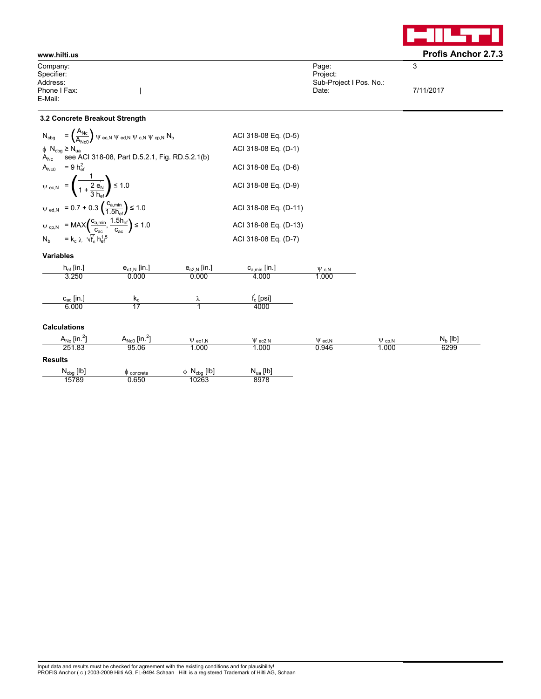

### **<www.hilti.us> Profis Anchor 2.7.3** Company: Specifier: Address: Phone I Fax: E-Mail:  $\begin{array}{c} \hline \end{array}$ Page: Project: Sub-Project I Pos. No.: Date: 3 7/11/2017

### **3.2 Concrete Breakout Strength**

|                                                | $N_{\text{cbg}} = \left(\frac{A_{\text{Nc}}}{A_{\text{Nso}}}\right) \psi_{\text{ec,N}} \psi_{\text{cd,N}} \psi_{\text{c,N}} \psi_{\text{cp,N}} N_{\text{b}}$                                                                                                                                                              | ACI 318-08 Eq. (D-5)  |
|------------------------------------------------|---------------------------------------------------------------------------------------------------------------------------------------------------------------------------------------------------------------------------------------------------------------------------------------------------------------------------|-----------------------|
| $\phi$ N <sub>cbq</sub> $\geq$ N <sub>ua</sub> |                                                                                                                                                                                                                                                                                                                           | ACI 318-08 Eq. (D-1)  |
| $A_{\mathsf{N}\mathsf{c}}$                     | see ACI 318-08, Part D.5.2.1, Fig. RD.5.2.1(b)<br>$A_{Nc0}$ = 9 $h_{\text{ef}}^2$                                                                                                                                                                                                                                         | ACI 318-08 Eq. (D-6)  |
|                                                |                                                                                                                                                                                                                                                                                                                           |                       |
|                                                | $\psi_{\text{ec,N}} = \left(\frac{1}{1 + \frac{2}{3} \frac{e_{\text{N}}}{h}}\right) \le 1.0$                                                                                                                                                                                                                              | ACI 318-08 Eq. (D-9)  |
|                                                | $\psi_{\text{ed,N}} = 0.7 + 0.3 \left( \frac{c_{a,\text{min}}}{1.5 h_{\text{ef}}} \right) \le 1.0$                                                                                                                                                                                                                        | ACI 318-08 Eq. (D-11) |
|                                                | $\begin{array}{ll} \displaystyle \psi_{\text{cp,N}} & \displaystyle = \text{MAX}\bigg( \frac{c_{\text{a,min}}}{c_{\text{ac}}}, \frac{1.5 h_{\text{ef}}}{c_{\text{ac}}} \bigg) \leq 1.0 \\ \displaystyle N_{\text{b}} & \displaystyle = k_{\text{c}} \, \lambda \, \sqrt{f_{\text{c}}} \, h_{\text{ef}}^{1.5} \end{array}$ | ACI 318-08 Eq. (D-13) |
|                                                |                                                                                                                                                                                                                                                                                                                           | ACI 318-08 Eq. (D-7)  |

### **Variables**

| $h_{ef}$ [in.]                      | $e_{c1,N}$ [in.]              | $e_{c2,N}$ [in.]            | $c_{a,min}$ [in.] | $\Psi$ c.N   |              |            |
|-------------------------------------|-------------------------------|-----------------------------|-------------------|--------------|--------------|------------|
| 3.250                               | 0.000                         | 0.000                       | 4.000             | 1.000        |              |            |
|                                     |                               |                             |                   |              |              |            |
| $c_{ac}$ [in.]                      | $k_{c}$                       | λ                           | $f_c$ [psi]       |              |              |            |
| 6.000                               | 17                            |                             | 4000              |              |              |            |
|                                     |                               |                             |                   |              |              |            |
| <b>Calculations</b>                 |                               |                             |                   |              |              |            |
| $A_{\text{Nc}}$ [in. <sup>2</sup> ] | $A_{Nc0}$ [in. <sup>2</sup> ] | $\Psi$ ec1, N               | $\Psi$ ec2, N     | $\Psi$ ed, N | $\Psi$ cp, N | $N_b$ [lb] |
| 251.83                              | 95.06                         | 1.000                       | 1.000             | 0.946        | 1.000        | 6299       |
| <b>Results</b>                      |                               |                             |                   |              |              |            |
| ALL FILT                            |                               | <b>CILT</b><br>$\mathbf{A}$ | <b>ALL FILT</b>   |              |              |            |

| $N_{cbg}$ [lb] | $\varphi$ concrete | $N_{cbg}$ [lb] | $N_{ua}$ [lb] |
|----------------|--------------------|----------------|---------------|
| 15789          | 0.650              | 10263          | 8978          |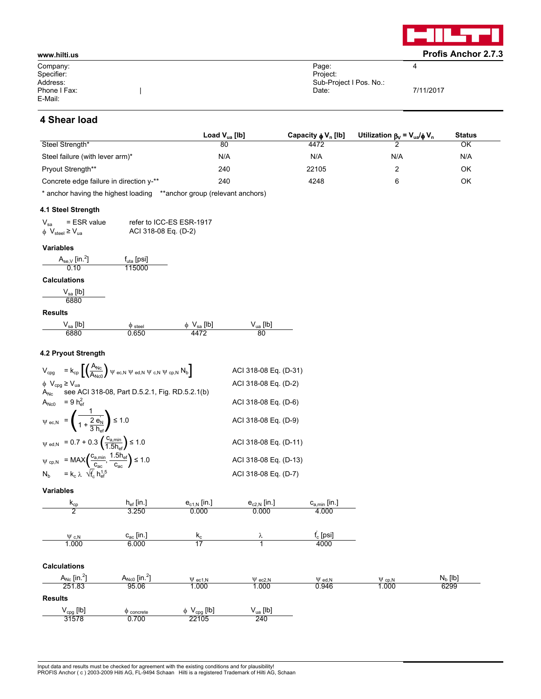

| www.hilti.us |                         | <b>Profis Anchor 2.7.3</b> |
|--------------|-------------------------|----------------------------|
| Company:     | Page:                   | ▵                          |
| Specifier:   | Project:                |                            |
| Address:     | Sub-Project I Pos. No.: |                            |
| Phone I Fax: | Date:                   | 7/11/2017                  |
| E-Mail:      |                         |                            |

# **4 Shear load**

|                                         | Load $V_{\text{ua}}$ [lb] | Capacity $\phi V_n$ [lb] | Utilization $\beta_V = V_{ua}/\phi V_n$ | <b>Status</b> |
|-----------------------------------------|---------------------------|--------------------------|-----------------------------------------|---------------|
| Steel Strength*                         | 80                        | 4472                     |                                         | ΟK            |
| Steel failure (with lever arm)*         | N/A                       | N/A                      | N/A                                     | N/A           |
| <b>Pryout Strength**</b>                | 240                       | 22105                    |                                         | ΟK            |
| Concrete edge failure in direction y-** | 240                       | 4248                     | 6                                       | ΟK            |

\* anchor having the highest loading \*\*anchor group (relevant anchors)

### **4.1 Steel Strength**

| $V_{sa}$                                         | $=$ ESR value | refer to ICC-ES ESR-1917 |
|--------------------------------------------------|---------------|--------------------------|
| $\phi$ V <sub>steel</sub> $\geq$ V <sub>ua</sub> |               | ACI 318-08 Eq. (D-2)     |

### **Variables**

| $A_{se,V}$ [in. <sup>2</sup> ]<br>0.10  | $f_{\text{uta}}$ [psi]<br>115000 |
|-----------------------------------------|----------------------------------|
| <b>Calculations</b>                     |                                  |
| $\mathsf{V}_{\mathsf{sa}}$ [lb]<br>6880 |                                  |
| <b>Results</b>                          |                                  |

| [Ib]<br>sa | steel<br>w | [Ib<br>⋒<br>১৫ | [lb<br>`ua |
|------------|------------|----------------|------------|
| 6881       |            |                | 80         |

### **4.2 Pryout Strength**

|                                                | $V_{cpg}$ = $k_{cp} \left[ \left( \frac{A_{Nc}}{A_{Nc}} \right) \psi$ ec.N $\psi$ ed.N $\psi$ c.N $\psi$ cp.N $N_b \right]$                     | ACI 318-08 Eq. (D-31) |
|------------------------------------------------|-------------------------------------------------------------------------------------------------------------------------------------------------|-----------------------|
| $\phi$ V <sub>cpg</sub> $\geq$ V <sub>ua</sub> |                                                                                                                                                 | ACI 318-08 Eq. (D-2)  |
|                                                | $A_{Nc}$ see ACI 318-08, Part D.5.2.1, Fig. RD.5.2.1(b)                                                                                         |                       |
|                                                | $A_{Nc0}$ = 9 $h_{\text{ef}}^2$                                                                                                                 | ACI 318-08 Eq. (D-6)  |
|                                                | $\psi_{\text{ec,N}} = \left(\frac{1}{1 + \frac{2}{3} \frac{e_{\text{N}}}{h}}\right) \le 1.0$                                                    | ACI 318-08 Eq. (D-9)  |
|                                                | $\psi_{\text{ed,N}} = 0.7 + 0.3 \left( \frac{c_{a,\text{min}}}{1.5 h_{\text{eff}}} \right) \le 1.0$                                             | ACI 318-08 Eq. (D-11) |
|                                                | $\psi_{cp,N}$ = MAX $\left(\frac{c_{a,min}}{c_{ac}}, \frac{1.5h_{ef}}{c_{ac}}\right) \le 1.0$<br>$N_b$ = $k_c \lambda \sqrt{t'_c} h_{ef}^{1.5}$ | ACI 318-08 Eq. (D-13) |
|                                                |                                                                                                                                                 | ACI 318-08 Eq. (D-7)  |

**Variables**

| $k_{cp}$                     | $h_{ef}$ [in.]                | $e_{c1,N}$ [in.]             | $e_{c2,N}$ [in.] | $c_{a,min}$ [in.] |              |            |
|------------------------------|-------------------------------|------------------------------|------------------|-------------------|--------------|------------|
| 2                            | 3.250                         | 0.000                        | 0.000            | 4.000             |              |            |
|                              |                               |                              |                  |                   |              |            |
| $\Psi$ c.N                   | $c_{ac}$ [in.]                | $k_c$                        | λ                | $f_c$ [psi]       |              |            |
| 1.000                        | 6.000                         | 17                           |                  | 4000              |              |            |
|                              |                               |                              |                  |                   |              |            |
| <b>Calculations</b>          |                               |                              |                  |                   |              |            |
| $A_{Nc}$ [in. <sup>2</sup> ] | $A_{Nc0}$ [in. <sup>2</sup> ] | $\Psi$ ec1, N                | $\Psi$ ec2, N    | $\Psi$ ed, N      | $\Psi$ cp, N | $N_b$ [lb] |
| 251.83                       | 95.06                         | 1.000                        | 1.000            | 0.946             | 1.000        | 6299       |
| <b>Results</b>               |                               |                              |                  |                   |              |            |
| $V_{cpg}$ [lb]               | $\Phi$ concrete               | $\phi$ V <sub>cpg</sub> [lb] | $V_{ua}$ [lb]    |                   |              |            |
| 31578                        | 0.700                         | 22105                        | 240              |                   |              |            |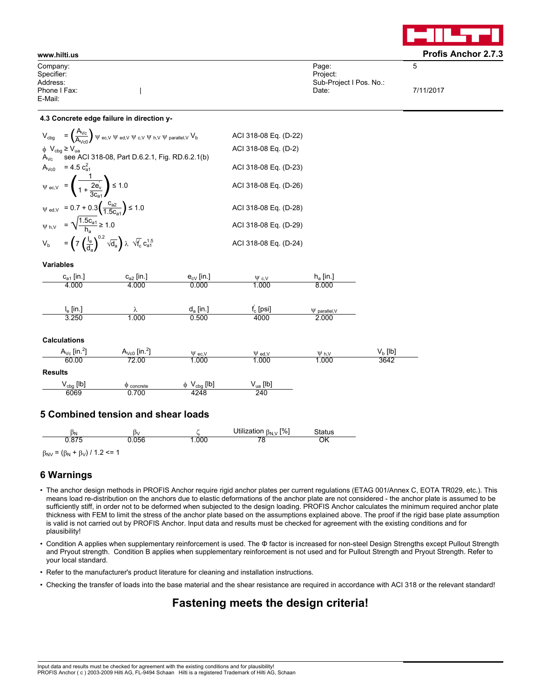

| Company:     | Page:                   | ∽         |
|--------------|-------------------------|-----------|
| Specifier:   | Project:                |           |
| Address:     | Sub-Project I Pos. No.: |           |
| Phone I Fax: | Date:                   | 7/11/2017 |
| E-Mail:      |                         |           |

### **4.3 Concrete edge failure in direction y-**

|                              | $V_{\text{cbg}} = \left(\frac{A_{\text{Vc}}}{A_{\text{Vco}}}\right) \psi_{\text{ec,V}} \psi_{\text{ed,V}} \psi_{\text{c,V}} \psi_{\text{h,V}} \psi_{\text{parallel,V}} V_{\text{b}}$ | ACI 318-08 Eq. (D-22) |
|------------------------------|--------------------------------------------------------------------------------------------------------------------------------------------------------------------------------------|-----------------------|
| $\phi$ $V_{cbg} \geq V_{ua}$ | $A_{Vc}$ see ACI 318-08, Part D.6.2.1, Fig. RD.6.2.1(b)                                                                                                                              | ACI 318-08 Eq. (D-2)  |
|                              | $A_{Vc0}$ = 4.5 $c_{a1}^2$                                                                                                                                                           | ACI 318-08 Eq. (D-23) |
|                              | $\psi_{\text{ec,V}} = \left(\frac{1}{1 + \frac{2e_v}{3e}}\right) \le 1.0$                                                                                                            | ACI 318-08 Eq. (D-26) |
|                              | $\psi_{\text{ed,V}} = 0.7 + 0.3 \left( \frac{c_{a2}}{1.5 c_{a1}} \right) \le 1.0$                                                                                                    | ACI 318-08 Eq. (D-28) |
|                              | $\psi_{h,V} = \sqrt{\frac{1.5c_{a1}}{h_a}} \ge 1.0$                                                                                                                                  | ACI 318-08 Eq. (D-29) |
|                              | $V_b$ = $\left(7 \left(\frac{I_e}{d_o}\right)^{0.2} \sqrt{d_a}\right) \lambda \sqrt{f_c} c_{a1}^{1.5}$                                                                               | ACI 318-08 Eq. (D-24) |

**Variables**

| $c_{a1}$ [in.] | $c_{a2}$ [in.] | $e_{cV}$ [in.] | $\Psi$ c.V  | $h_a$ [in.]        |
|----------------|----------------|----------------|-------------|--------------------|
| 4.000          | 4.000          | 0.000          | 1.000       | 8.000              |
|                |                |                |             |                    |
| $I_e$ [in.]    | Λ              | $d_a$ [in.]    | $f_c$ [psi] | $\Psi$ parallel, V |
| 3.250          | .000           | 0.500          | 4000        | 2.000              |

### **Calculations**

| $A_{\text{Vc}}$ [in. <sup>2</sup> ] | $A_{\text{Vc0}}$ [in. <sup>2</sup> ] | $\Psi$ ec.V         | $\Psi$ ed.V   | $\Psi$ <sub>h.V</sub> | $\mathsf{V}_{\mathsf{b}}\left[\mathsf{I}\mathsf{b}\right]$ |
|-------------------------------------|--------------------------------------|---------------------|---------------|-----------------------|------------------------------------------------------------|
| 60.00                               | 72.00                                | .000                | .000          | 1.000                 | 3642                                                       |
| <b>Results</b>                      |                                      |                     |               |                       |                                                            |
| $V_{cbg}$ [lb]                      | concrete                             | $V_{cbg}$ [lb]<br>Φ | $V_{ua}$ [lb] |                       |                                                            |
| 6069                                | 0.700                                | 4248                | 240           |                       |                                                            |

## **5 Combined tension and shear loads**

| ÞΝ             | IJ٧  |      | <b>[%]</b><br>Utilization<br>$B_N$ $V$ | Status |
|----------------|------|------|----------------------------------------|--------|
| 07E<br>J.O / J | .056 | .000 |                                        | OK     |

 $\beta_{\text{NV}} = (\beta_{\text{N}} + \beta_{\text{V}}) / 1.2 \leq 1$ 

## **6 Warnings**

- The anchor design methods in PROFIS Anchor require rigid anchor plates per current regulations (ETAG 001/Annex C, EOTA TR029, etc.). This means load re-distribution on the anchors due to elastic deformations of the anchor plate are not considered - the anchor plate is assumed to be sufficiently stiff, in order not to be deformed when subjected to the design loading. PROFIS Anchor calculates the minimum required anchor plate thickness with FEM to limit the stress of the anchor plate based on the assumptions explained above. The proof if the rigid base plate assumption is valid is not carried out by PROFIS Anchor. Input data and results must be checked for agreement with the existing conditions and for plausibility!
- Condition A applies when supplementary reinforcement is used. The Φ factor is increased for non-steel Design Strengths except Pullout Strength and Pryout strength. Condition B applies when supplementary reinforcement is not used and for Pullout Strength and Pryout Strength. Refer to your local standard.
- Refer to the manufacturer's product literature for cleaning and installation instructions.
- Checking the transfer of loads into the base material and the shear resistance are required in accordance with ACI 318 or the relevant standard!

# **Fastening meets the design criteria!**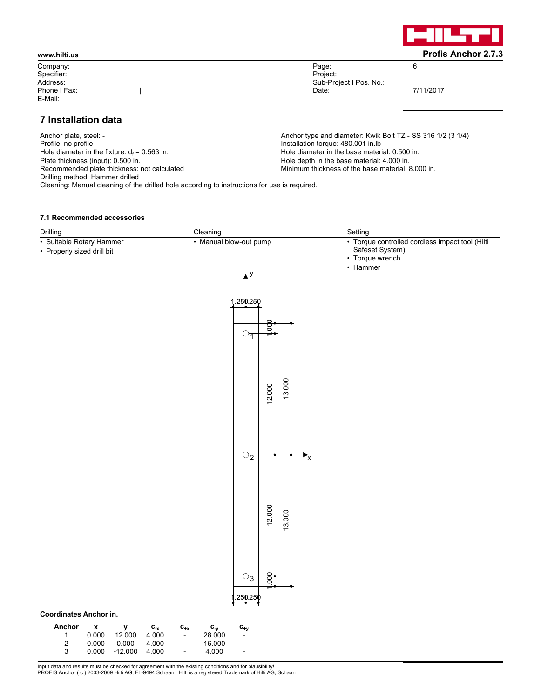

Company: Specifier: Address: Phone I Fax: E-Mail:

Page: Project: Sub-Project I Pos. No.: Date:

7/11/2017

6

# **7 Installation data**

Anchor plate, steel: -<br>
Profile: no profile<br>
Profile: no profile<br>
Anchor type and diameter: Kwik Bolt TZ - SS 316 1/2 (3 1/4)<br>
Installation torque: 480.001 in.lb Hole diameter in the fixture:  $d_f = 0.563$  in.<br>Plate thickness (input): 0.500 in. Plate thickness (input): 0.500 in.<br>
Recommended plate thickness: not calculated Minimum thickness of the base material: 4.000 in.<br>
Minimum thickness of the base material: 8 Drilling method: Hammer drilled Cleaning: Manual cleaning of the drilled hole according to instructions for use is required.

|

Installation torque: 480.001 in.lb Hole diameter in the base material: 0.500 in. Minimum thickness of the base material: 8.000 in.

### **7.1 Recommended accessories**

| Drilling                                                                                                                                                                                 | Cleaning                                                                                                                                                                                                                                         | Setting                                                                               |
|------------------------------------------------------------------------------------------------------------------------------------------------------------------------------------------|--------------------------------------------------------------------------------------------------------------------------------------------------------------------------------------------------------------------------------------------------|---------------------------------------------------------------------------------------|
| · Suitable Rotary Hammer<br>• Properly sized drill bit                                                                                                                                   | • Manual blow-out pump                                                                                                                                                                                                                           | · Torque controlled cordless impact tool (Hilti<br>Safeset System)<br>• Torque wrench |
|                                                                                                                                                                                          | $\blacktriangle^y$                                                                                                                                                                                                                               | • Hammer                                                                              |
|                                                                                                                                                                                          | .250250                                                                                                                                                                                                                                          |                                                                                       |
|                                                                                                                                                                                          | $rac{1}{2}$<br>$\Phi_T$                                                                                                                                                                                                                          |                                                                                       |
|                                                                                                                                                                                          | 13.000<br>12.000                                                                                                                                                                                                                                 |                                                                                       |
|                                                                                                                                                                                          | $\mathbb{O}_{2}$<br>$\mathbf{F}_{\mathsf{X}}$                                                                                                                                                                                                    |                                                                                       |
|                                                                                                                                                                                          | 12.000<br>13.000                                                                                                                                                                                                                                 |                                                                                       |
| <b>Coordinates Anchor in.</b>                                                                                                                                                            | g,<br>$\sqrt{3}$<br>250250                                                                                                                                                                                                                       |                                                                                       |
| Anchor<br>$\mathbf{C}_{\text{-x}}$<br>$\pmb{\mathsf{x}}$<br>y<br>0.000<br>12.000<br>4.000<br>1<br>$\overline{\mathbf{c}}$<br>4.000<br>0.000<br>0.000<br>3<br>$-12.000$<br>4.000<br>0.000 | $\frac{c_{y}}{28.000}$<br>$\mathbf{c}_{\mathbf{+x}}$<br>$c_{\frac{1}{2}}$<br>$\overline{\phantom{a}}$<br>$\overline{\phantom{a}}$<br>16.000<br>$\overline{\phantom{a}}$<br>$\overline{a}$<br>4.000<br>$\overline{\phantom{a}}$<br>$\overline{a}$ |                                                                                       |

Input data and results must be checked for agreement with the existing conditions and for plausibility! PROFIS Anchor ( c ) 2003-2009 Hilti AG, FL-9494 Schaan Hilti is a registered Trademark of Hilti AG, Schaan